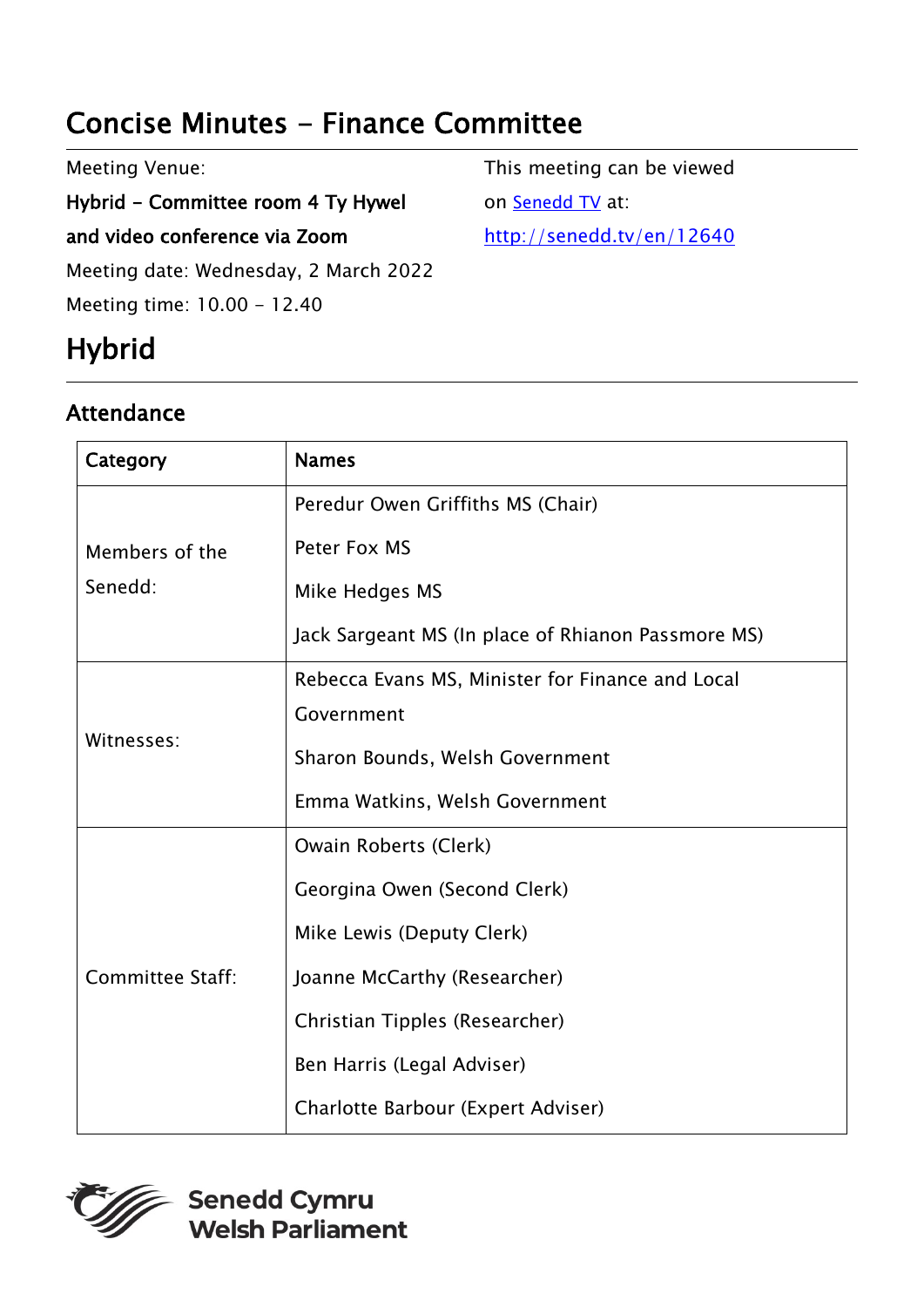# Concise Minutes - Finance Committee

Meeting Venue:

Hybrid - Committee room 4 Ty Hywel

and video conference via Zoom

Meeting date: Wednesday, 2 March 2022

Meeting time: 10.00 - 12.40

# **Hybrid**

## Attendance

This meeting can be viewed on [Senedd TV](http://senedd.tv/) at: <http://senedd.tv/en/12640>

| Category                  | <b>Names</b>                                       |
|---------------------------|----------------------------------------------------|
| Members of the<br>Senedd: | Peredur Owen Griffiths MS (Chair)                  |
|                           | Peter Fox MS                                       |
|                           | Mike Hedges MS                                     |
|                           | Jack Sargeant MS (In place of Rhianon Passmore MS) |
| Witnesses:                | Rebecca Evans MS, Minister for Finance and Local   |
|                           | Government                                         |
|                           | Sharon Bounds, Welsh Government                    |
|                           | Emma Watkins, Welsh Government                     |
| <b>Committee Staff:</b>   | Owain Roberts (Clerk)                              |
|                           | Georgina Owen (Second Clerk)                       |
|                           | Mike Lewis (Deputy Clerk)                          |
|                           | Joanne McCarthy (Researcher)                       |
|                           | Christian Tipples (Researcher)                     |
|                           | Ben Harris (Legal Adviser)                         |
|                           | Charlotte Barbour (Expert Adviser)                 |

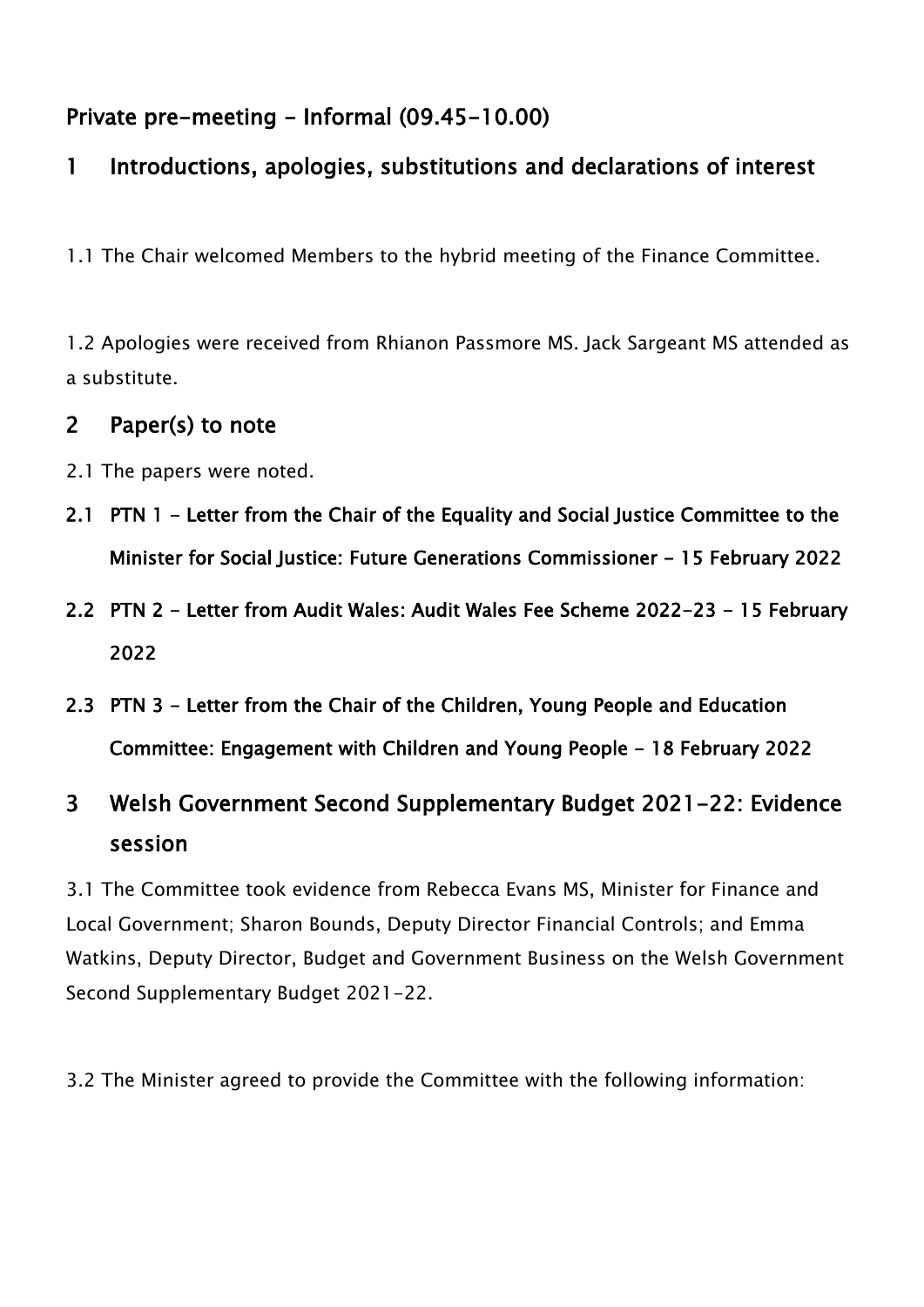#### Private pre-meeting - Informal (09.45-10.00)

#### 1 Introductions, apologies, substitutions and declarations of interest

1.1 The Chair welcomed Members to the hybrid meeting of the Finance Committee.

1.2 Apologies were received from Rhianon Passmore MS. Jack Sargeant MS attended as a substitute.

#### 2 Paper(s) to note

- 2.1 The papers were noted.
- 2.1 PTN 1 Letter from the Chair of the Equality and Social Justice Committee to the Minister for Social Justice: Future Generations Commissioner - 15 February 2022
- 2.2 PTN 2 Letter from Audit Wales: Audit Wales Fee Scheme 2022-23 15 February 2022
- 2.3 PTN 3 Letter from the Chair of the Children, Young People and Education Committee: Engagement with Children and Young People - 18 February 2022

## 3 Welsh Government Second Supplementary Budget 2021-22: Evidence session

3.1 The Committee took evidence from Rebecca Evans MS, Minister for Finance and Local Government; Sharon Bounds, Deputy Director Financial Controls; and Emma Watkins, Deputy Director, Budget and Government Business on the Welsh Government Second Supplementary Budget 2021-22.

3.2 The Minister agreed to provide the Committee with the following information: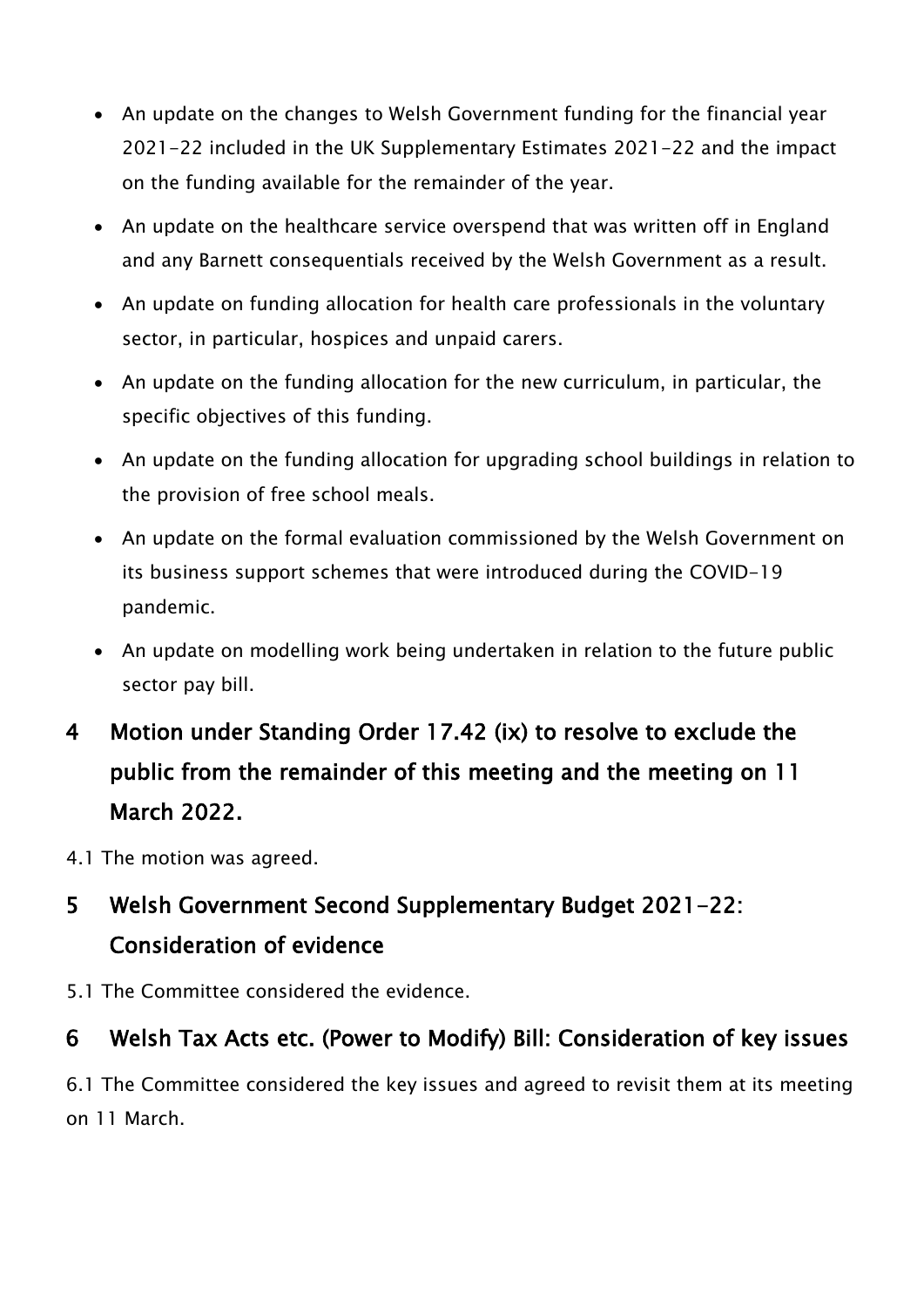- An update on the changes to Welsh Government funding for the financial year 2021-22 included in the UK Supplementary Estimates 2021-22 and the impact on the funding available for the remainder of the year.
- An update on the healthcare service overspend that was written off in England and any Barnett consequentials received by the Welsh Government as a result.
- An update on funding allocation for health care professionals in the voluntary sector, in particular, hospices and unpaid carers.
- An update on the funding allocation for the new curriculum, in particular, the specific objectives of this funding.
- An update on the funding allocation for upgrading school buildings in relation to the provision of free school meals.
- An update on the formal evaluation commissioned by the Welsh Government on its business support schemes that were introduced during the COVID-19 pandemic.
- An update on modelling work being undertaken in relation to the future public sector pay bill.
- 4 Motion under Standing Order 17.42 (ix) to resolve to exclude the public from the remainder of this meeting and the meeting on 11 March 2022.
- 4.1 The motion was agreed.

## 5 Welsh Government Second Supplementary Budget 2021-22: Consideration of evidence

5.1 The Committee considered the evidence.

#### 6 Welsh Tax Acts etc. (Power to Modify) Bill: Consideration of key issues

6.1 The Committee considered the key issues and agreed to revisit them at its meeting on 11 March.